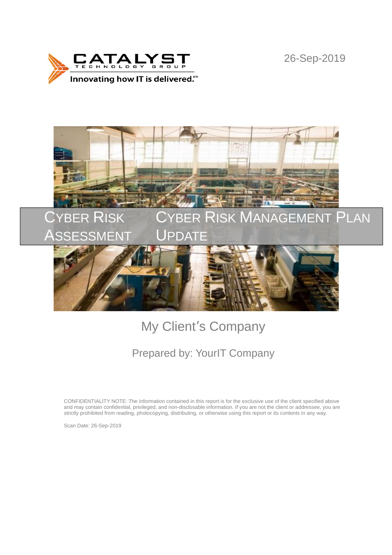

26-Sep-2019



# My Client's Company

## Prepared by: YourIT Company

CONFIDENTIALITY NOTE: The information contained in this report is for the exclusive use of the client specified above and may contain confidential, privileged, and non-disclosable information. If you are not the client or addressee, you are strictly prohibited from reading, photocopying, distributing, or otherwise using this report or its contents in any way.

Scan Date: 26-Sep-2019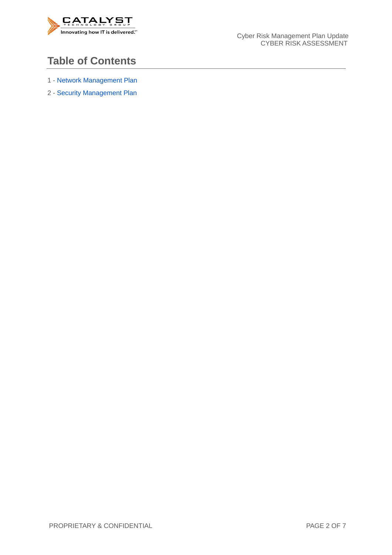

### **Table of Contents**

- 1 Network Management Plan
- 2 Security Management Plan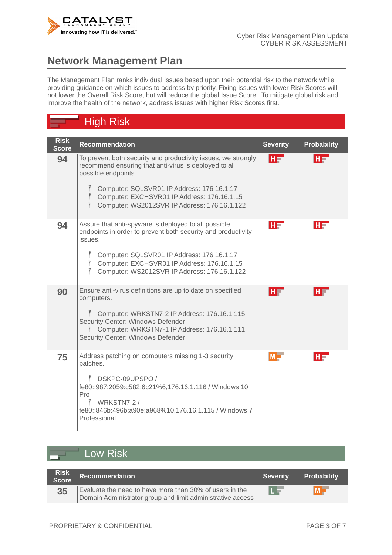

## **Network Management Plan**

The Management Plan ranks individual issues based upon their potential risk to the network while providing guidance on which issues to address by priority. Fixing issues with lower Risk Scores will not lower the Overall Risk Score, but will reduce the global Issue Score. To mitigate global risk and improve the health of the network, address issues with higher Risk Scores first.

## High Risk

| <b>Risk</b><br><b>Score</b> | <b>Recommendation</b>                                                                                                                                                                                             | <b>Severity</b> | <b>Probability</b> |
|-----------------------------|-------------------------------------------------------------------------------------------------------------------------------------------------------------------------------------------------------------------|-----------------|--------------------|
| 94                          | To prevent both security and productivity issues, we strongly<br>recommend ensuring that anti-virus is deployed to all<br>possible endpoints.<br>$\tilde{\tilde{}}$<br>Computer: SQLSVR01 IP Address: 176.16.1.17 | $H =$           | $H =$              |
|                             | $\tilde{I}$<br>Computer: EXCHSVR01 IP Address: 176.16.1.15<br>Computer: WS2012SVR IP Address: 176.16.1.122                                                                                                        |                 |                    |
| 94                          | Assure that anti-spyware is deployed to all possible<br>endpoints in order to prevent both security and productivity<br>issues.                                                                                   | HF              | HI                 |
|                             | Ĩ<br>Computer: SQLSVR01 IP Address: 176.16.1.17<br>$\tilde{\bar{\rm{l}}}$<br>Computer: EXCHSVR01 IP Address: 176.16.1.15<br>$\tilde{1}$<br>Computer: WS2012SVR IP Address: 176.16.1.122                           |                 |                    |
| 90                          | Ensure anti-virus definitions are up to date on specified<br>computers.                                                                                                                                           | HT              | HI                 |
|                             | Computer: WRKSTN7-2 IP Address: 176.16.1.115<br>Security Center: Windows Defender<br>Computer: WRKSTN7-1 IP Address: 176.16.1.111<br>Security Center: Windows Defender                                            |                 |                    |
| 75                          | Address patching on computers missing 1-3 security<br>patches.                                                                                                                                                    | $M \Box$        | HI                 |
|                             | $\tilde{1}$<br>DSKPC-09UPSPO /<br>fe80::987:2059:c582:6c21%6,176.16.1.116 / Windows 10<br>Pro<br>Ĩ WRKSTN7-2 /<br>fe80::846b:496b:a90e:a968%10,176.16.1.115 / Windows 7<br>Professional                           |                 |                    |

#### Low Risk

| Risk<br>Score | Recommendation                                                                                                        | <b>Severity</b> | <b>Probability</b> |
|---------------|-----------------------------------------------------------------------------------------------------------------------|-----------------|--------------------|
| 35            | Evaluate the need to have more than 30% of users in the<br>Domain Administrator group and limit administrative access | LE              | MN                 |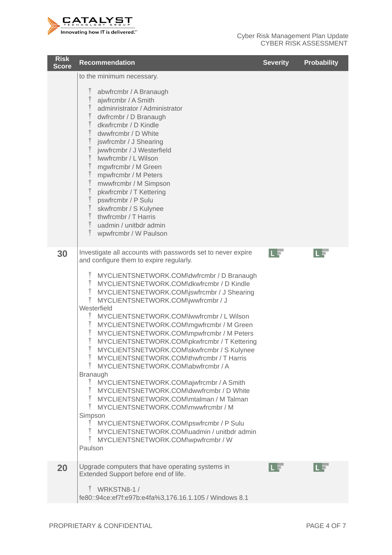

| <b>Risk</b><br><b>Score</b> | <b>Recommendation</b>                                                                                                                                                                                                                                                                                                                                                                                                                                                                                                                                                                                                                                                                                                                                                                                                                                                                                                                                                                                                                                                                                               | <b>Severity</b> | <b>Probability</b> |
|-----------------------------|---------------------------------------------------------------------------------------------------------------------------------------------------------------------------------------------------------------------------------------------------------------------------------------------------------------------------------------------------------------------------------------------------------------------------------------------------------------------------------------------------------------------------------------------------------------------------------------------------------------------------------------------------------------------------------------------------------------------------------------------------------------------------------------------------------------------------------------------------------------------------------------------------------------------------------------------------------------------------------------------------------------------------------------------------------------------------------------------------------------------|-----------------|--------------------|
|                             | to the minimum necessary.<br>abwfrcmbr / A Branaugh<br>ajwfrcmbr / A Smith<br>adminristrator / Administrator<br>$\widetilde{\mathbb{T}}$<br>dwfrcmbr / D Branaugh<br>$\tilde{\bar{\mathrm{I}}}$<br>dkwfrcmbr / D Kindle<br>$\widetilde{\bar{\mathbb{I}}}$<br>dwwfrcmbr / D White<br>$\widetilde{\mathbb{I}}$<br>jswfrcmbr / J Shearing<br>$\tilde{\bar{\mathbb{I}}}$<br>jwwfrcmbr / J Westerfield<br>$\widetilde{\mathbb{I}}$<br>Iwwfrcmbr / L Wilson<br>$\widetilde{\mathbb{T}}$<br>mgwfrcmbr / M Green<br>$\tilde{\bar{\mathbb{I}}}$<br>mpwfrcmbr / M Peters<br>$\tilde{\bar{\mathbb{I}}}$<br>mwwfrcmbr / M Simpson<br>$\widetilde{\mathbb{I}}$<br>pkwfrcmbr / T Kettering<br>pswfrcmbr / P Sulu<br>skwfrcmbr / S Kulynee<br>thwfrcmbr / T Harris<br>uadmin / unitbdr admin<br>$\tilde{\tilde{I}}$<br>wpwfrcmbr / W Paulson                                                                                                                                                                                                                                                                                       |                 |                    |
| 30                          | Investigate all accounts with passwords set to never expire<br>and configure them to expire regularly.<br>Ĩ<br>MYCLIENTSNETWORK.COM\dwfrcmbr / D Branaugh<br>$\tilde{\bar{\rm{l}}}$<br>MYCLIENTSNETWORK.COM\dkwfrcmbr / D Kindle<br>$\tilde{\bar{\rm{l}}}$<br>MYCLIENTSNETWORK.COM\jswfrcmbr / J Shearing<br>$\tilde{\tilde{}}$<br>MYCLIENTSNETWORK.COM\jwwfrcmbr / J<br>Westerfield<br>MYCLIENTSNETWORK.COM\lwwfrcmbr / L Wilson<br>MYCLIENTSNETWORK.COM\mgwfrcmbr / M Green<br>MYCLIENTSNETWORK.COM\mpwfrcmbr / M Peters<br>MYCLIENTSNETWORK.COM\pkwfrcmbr / T Kettering<br>MYCLIENTSNETWORK.COM\skwfrcmbr / S Kulynee<br>$\tilde{\tilde{\mathfrak{l}}}$<br>MYCLIENTSNETWORK.COM\thwfrcmbr / T Harris<br>MYCLIENTSNETWORK.COM\abwfrcmbr / A<br><b>Branaugh</b><br>Ĩ<br>MYCLIENTSNETWORK.COM\ajwfrcmbr / A Smith<br>MYCLIENTSNETWORK.COM\dwwfrcmbr / D White<br>MYCLIENTSNETWORK.COM\mtalman / M Talman<br>MYCLIENTSNETWORK.COM\mwwfrcmbr / M<br>Simpson<br>MYCLIENTSNETWORK.COM\pswfrcmbr / P Sulu<br>MYCLIENTSNETWORK.COM\uadmin / unitbdr admin<br>$\tilde{1}$<br>MYCLIENTSNETWORK.COM\wpwfrcmbr / W<br>Paulson | LF              | L.                 |
| 20                          | Upgrade computers that have operating systems in<br>Extended Support before end of life.<br>$\tilde{I}$ WRKSTN8-1/<br>fe80::94ce:ef7f:e97b:e4fa%3,176.16.1.105 / Windows 8.1                                                                                                                                                                                                                                                                                                                                                                                                                                                                                                                                                                                                                                                                                                                                                                                                                                                                                                                                        | n s             |                    |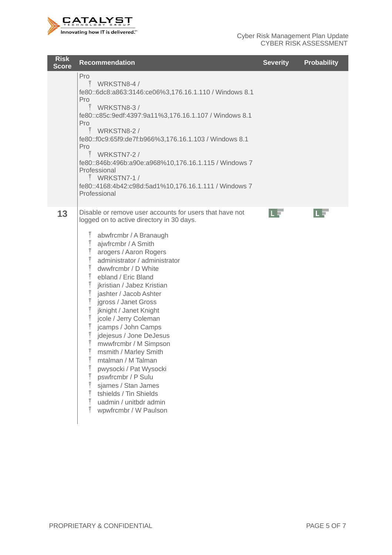

| <b>Risk</b><br><b>Score</b> | <b>Recommendation</b>                                                                                                                                                                                                                                                                                                                                                                                                                                                                                                                                                                                                                                                                                                                                                                                                                                                                                                                                                                                                                                                                                        | <b>Severity</b> | <b>Probability</b> |
|-----------------------------|--------------------------------------------------------------------------------------------------------------------------------------------------------------------------------------------------------------------------------------------------------------------------------------------------------------------------------------------------------------------------------------------------------------------------------------------------------------------------------------------------------------------------------------------------------------------------------------------------------------------------------------------------------------------------------------------------------------------------------------------------------------------------------------------------------------------------------------------------------------------------------------------------------------------------------------------------------------------------------------------------------------------------------------------------------------------------------------------------------------|-----------------|--------------------|
|                             | Pro<br>WRKSTN8-4/<br>fe80::6dc8:a863:3146:ce06%3,176.16.1.110 / Windows 8.1<br>Pro<br>$\tilde{\tilde{I}}$<br>WRKSTN8-3/<br>fe80::c85c:9edf:4397:9a11%3,176.16.1.107 / Windows 8.1<br>Pro<br>$\tilde{I}$ WRKSTN8-2/<br>fe80::f0c9:65f9:de7f:b966%3,176.16.1.103 / Windows 8.1<br>Pro<br>$\tilde{I}$ WRKSTN7-2 /<br>fe80::846b:496b:a90e:a968%10,176.16.1.115 / Windows 7<br>Professional<br>$\tilde{I}$ WRKSTN7-1/<br>fe80::4168:4b42:c98d:5ad1%10,176.16.1.111 / Windows 7<br>Professional                                                                                                                                                                                                                                                                                                                                                                                                                                                                                                                                                                                                                   |                 |                    |
| 13                          | Disable or remove user accounts for users that have not<br>logged on to active directory in 30 days.<br>$\tilde{\bar{1}}$<br>abwfrcmbr / A Branaugh<br>$\tilde{\bar{\rm{l}}}$<br>ajwfrcmbr / A Smith<br>arogers / Aaron Rogers<br>administrator / administrator<br>$\tilde{\bar{\mathbb{I}}}$<br>dwwfrcmbr / D White<br>$\tilde{\bar{\rm{l}}}$<br>ebland / Eric Bland<br>$\begin{array}{c}\n\widetilde{\mathsf{I}}\\ \widetilde{\mathsf{I}}\n\end{array}$<br>jkristian / Jabez Kristian<br>jashter / Jacob Ashter<br>$\tilde{\bar{\mathrm{I}}}$<br>jgross / Janet Gross<br>$\tilde{\bar{\rm{l}}}$<br>jknight / Janet Knight<br>$\tilde{\bar{\rm{l}}}$<br>jcole / Jerry Coleman<br>jcamps / John Camps<br>jdejesus / Jone DeJesus<br>mwwfrcmbr / M Simpson<br>msmith / Marley Smith<br>$\widetilde{\mathbb{I}}$<br>mtalman / M Talman<br>$\tilde{\bar{\mathbb{I}}}$<br>pwysocki / Pat Wysocki<br>$\tilde{\bar{\mathbb{I}}}$<br>pswfrcmbr / P Sulu<br>$\tilde{\bar{\mathbb{I}}}$<br>sjames / Stan James<br>$\tilde{\bar{\rm{l}}}$<br>tshields / Tin Shields<br>uadmin / unitbdr admin<br>wpwfrcmbr / W Paulson | ПF              | LE                 |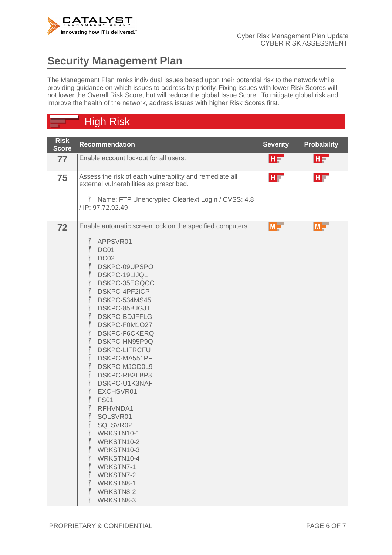

## **Security Management Plan**

The Management Plan ranks individual issues based upon their potential risk to the network while providing guidance on which issues to address by priority. Fixing issues with lower Risk Scores will not lower the Overall Risk Score, but will reduce the global Issue Score. To mitigate global risk and improve the health of the network, address issues with higher Risk Scores first.

### High Risk

| <b>Risk</b><br><b>Score</b> | <b>Recommendation</b>                                                                                                                                                                                                                                                                                                                                                                                                                                                                                                                                                                                                                                                                                                                                                                                                                                                                                                                                                                                                                                                                                                                                                                                                                                                                                                                                                                                              | <b>Severity</b> | <b>Probability</b> |  |
|-----------------------------|--------------------------------------------------------------------------------------------------------------------------------------------------------------------------------------------------------------------------------------------------------------------------------------------------------------------------------------------------------------------------------------------------------------------------------------------------------------------------------------------------------------------------------------------------------------------------------------------------------------------------------------------------------------------------------------------------------------------------------------------------------------------------------------------------------------------------------------------------------------------------------------------------------------------------------------------------------------------------------------------------------------------------------------------------------------------------------------------------------------------------------------------------------------------------------------------------------------------------------------------------------------------------------------------------------------------------------------------------------------------------------------------------------------------|-----------------|--------------------|--|
| 77                          | Enable account lockout for all users.                                                                                                                                                                                                                                                                                                                                                                                                                                                                                                                                                                                                                                                                                                                                                                                                                                                                                                                                                                                                                                                                                                                                                                                                                                                                                                                                                                              | <b>HF</b>       | HF.                |  |
| 75                          | Assess the risk of each vulnerability and remediate all<br>HF 1<br>external vulnerabilities as prescribed.<br>Ĩ<br>Name: FTP Unencrypted Cleartext Login / CVSS: 4.8<br>/ IP: 97.72.92.49                                                                                                                                                                                                                                                                                                                                                                                                                                                                                                                                                                                                                                                                                                                                                                                                                                                                                                                                                                                                                                                                                                                                                                                                                          |                 |                    |  |
| 72                          | Enable automatic screen lock on the specified computers.<br>$\tilde{\bar{\rm{l}}}$<br>APPSVR01<br>$\tilde{\bar{\mathbb{I}}}$<br>DC01<br>$\widetilde{\bar{\mathrm{I}}}$<br>DC02<br>$\tilde{\bar{\rm{l}}}$<br>DSKPC-09UPSPO<br>$\tilde{\bar{\mathcal{I}}}$<br>DSKPC-191IJQL<br>$\tilde{\mathbb{I}}$<br>DSKPC-35EGQCC<br>$\tilde{\bar{\rm{l}}}$<br>DSKPC-4PF2ICP<br>$\widetilde{\mathbb{I}}$<br>DSKPC-534MS45<br>$\tilde{\mathbb{I}}$<br>DSKPC-85BJGJT<br>$\tilde{\mathbb{I}}$<br><b>DSKPC-BDJFFLG</b><br>$\widetilde{\bar{\mathbb{T}}}$<br>DSKPC-F0M1O27<br>DSKPC-F6CKERQ<br>$\tilde{\bar{\mathbb{I}}}$<br>DSKPC-HN95P9Q<br>$\tilde{\bar{\mathbb{I}}}$<br><b>DSKPC-LIFRCFU</b><br>$\tilde{\bar{\rm{l}}}$<br>DSKPC-MA551PF<br>$\tilde{\bar{\rm{l}}}$<br>DSKPC-MJOD0L9<br>$\tilde{\bar{\rm{l}}}$<br>DSKPC-RB3LBP3<br>$\tilde{\bar{\rm{l}}}$<br>DSKPC-U1K3NAF<br>$\tilde{\bar{\rm{l}}}$<br>EXCHSVR01<br>$\tilde{\bar{\rm{l}}}$<br><b>FS01</b><br>$\widetilde{\bar{\mathrm{I}}}$<br>RFHVNDA1<br>$\tilde{\bar{\rm{l}}}$<br>SQLSVR01<br>$\tilde{\bar{\rm{l}}}$<br>SQLSVR02<br>WRKSTN10-1<br>L<br>$\tilde{\overline{I}}$<br>WRKSTN10-2<br>$\tilde{\bar{\mathrm{I}}}$<br>WRKSTN10-3<br>$\tilde{\bar{\rm{l}}}$<br>WRKSTN10-4<br>$\tilde{\bar{\mathfrak{l}}}$<br>WRKSTN7-1<br>$\tilde{\mathbb{I}}$<br>WRKSTN7-2<br>$\tilde{\bar{\mathcal{I}}}$<br>WRKSTN8-1<br>$\tilde{\bar{\rm{l}}}$<br>WRKSTN8-2<br>$\tilde{1}$<br>WRKSTN8-3 | $M =$           | $M =$              |  |